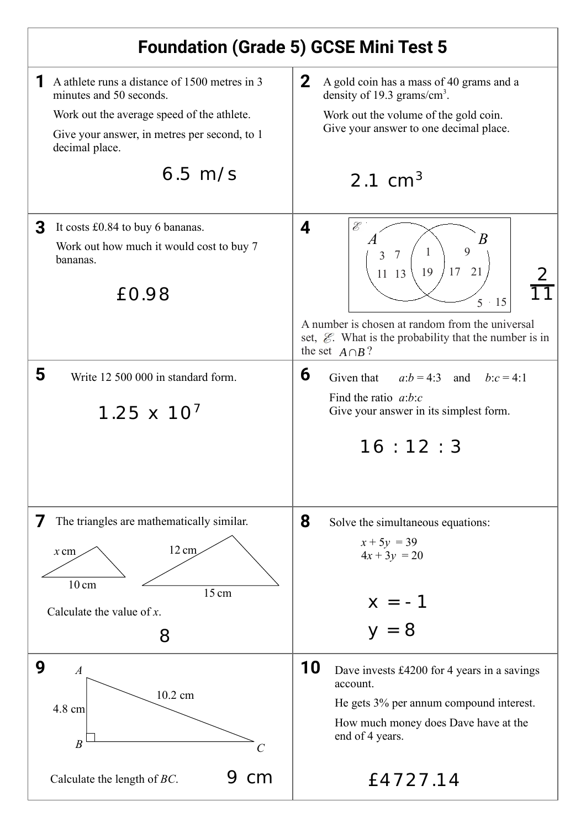## **Foundation (Grade 5) GCSE Mini Test 5 1** A athlete runs a distance of 1500 metres in 3  $\Big| 2$ A gold coin has a mass of 40 grams and a minutes and 50 seconds. density of 19.3 grams/cm<sup>3</sup>. Work out the average speed of the athlete. Work out the volume of the gold coin. Give your answer to one decimal place. Give your answer, in metres per second, to 1 decimal place. 6.5 m/s  $21 \text{ cm}^3$ **3** It costs £0.84 to buy 6 bananas.  $\vert 4 \vert$ Ê *A B* Work out how much it would cost to buy 7  $\overline{Q}$ 3 7  $\begin{pmatrix} 1 \end{pmatrix}$ bananas. 17 21 11 13 | 19 EO.98  $\left[\begin{array}{c|c}11 & 13 & 19 & 17 & 21 \ \hline & & & & & 5 & 15 \ \end{array}\right] \frac{2}{17}$ 11 5 15 A number is chosen at random from the universal set,  $\mathcal{E}$ . What is the probability that the number is in the set  $A \cap B$ ? **5 6** Write 12 500 000 in standard form. Given that *a*:*b* = 4:3 and *b*:*c* = 4:1 Find the ratio *a*:*b*:*c*  $1.25 \times 10^{7}$ Give your answer in its simplest form.  $16 \cdot 12 \cdot 3$ **7** The triangles are mathematically similar. **8** Solve the simultaneous equations:  $x + 5y = 39$  $x \text{ cm}$  12 cm  $4x + 3y = 20$  $10 \text{ cm}$ 15 cm  $x = -1$ Calculate the value of *x*.  $y = 8$ 8 **9 10** Dave invests £4200 for 4 years in a savings *A* account. 10.2 cm He gets 3% per annum compound interest. 4.8 cm How much money does Dave have at the end of 4 years. *B C* 9 cm  $\vert$   $f$  4727.14 Calculate the length of *BC*.